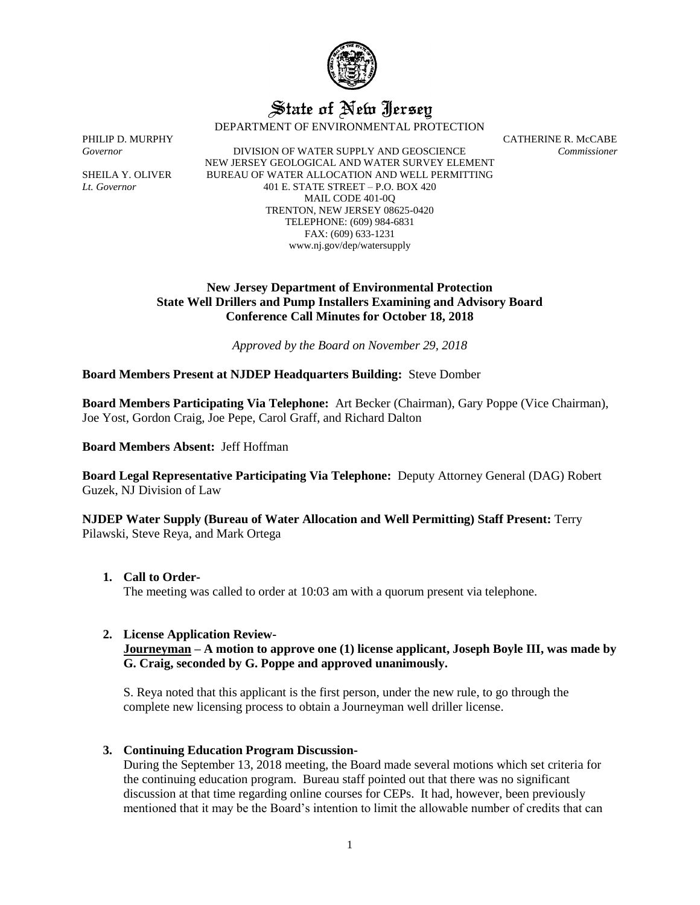

# State of New Jersey

DEPARTMENT OF ENVIRONMENTAL PROTECTION

*Governor* DIVISION OF WATER SUPPLY AND GEOSCIENCE *Commissioner* NEW JERSEY GEOLOGICAL AND WATER SURVEY ELEMENT SHEILA Y. OLIVER BUREAU OF WATER ALLOCATION AND WELL PERMITTING *Lt. Governor* 401 E. STATE STREET – P.O. BOX 420 MAIL CODE 401-0Q TRENTON, NEW JERSEY 08625-0420 TELEPHONE: (609) 984-6831 FAX: (609) 633-1231 www.nj.gov/dep/watersupply

PHILIP D. MURPHY CATHERINE R. McCABE

## **New Jersey Department of Environmental Protection State Well Drillers and Pump Installers Examining and Advisory Board Conference Call Minutes for October 18, 2018**

*Approved by the Board on November 29, 2018*

**Board Members Present at NJDEP Headquarters Building:** Steve Domber

**Board Members Participating Via Telephone:** Art Becker (Chairman), Gary Poppe (Vice Chairman), Joe Yost, Gordon Craig, Joe Pepe, Carol Graff, and Richard Dalton

**Board Members Absent:** Jeff Hoffman

**Board Legal Representative Participating Via Telephone:** Deputy Attorney General (DAG) Robert Guzek, NJ Division of Law

**NJDEP Water Supply (Bureau of Water Allocation and Well Permitting) Staff Present:** Terry Pilawski, Steve Reya, and Mark Ortega

**1. Call to Order-**

The meeting was called to order at 10:03 am with a quorum present via telephone.

#### **2. License Application Review-**

**Journeyman – A motion to approve one (1) license applicant, Joseph Boyle III, was made by G. Craig, seconded by G. Poppe and approved unanimously.**

S. Reya noted that this applicant is the first person, under the new rule, to go through the complete new licensing process to obtain a Journeyman well driller license.

#### **3. Continuing Education Program Discussion-**

During the September 13, 2018 meeting, the Board made several motions which set criteria for the continuing education program. Bureau staff pointed out that there was no significant discussion at that time regarding online courses for CEPs. It had, however, been previously mentioned that it may be the Board's intention to limit the allowable number of credits that can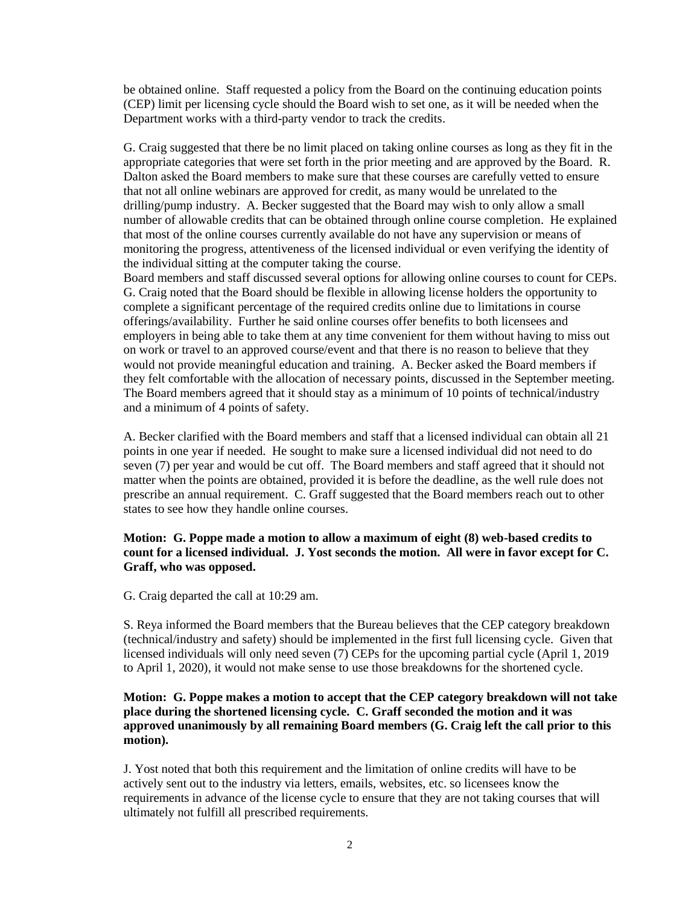be obtained online. Staff requested a policy from the Board on the continuing education points (CEP) limit per licensing cycle should the Board wish to set one, as it will be needed when the Department works with a third-party vendor to track the credits.

G. Craig suggested that there be no limit placed on taking online courses as long as they fit in the appropriate categories that were set forth in the prior meeting and are approved by the Board. R. Dalton asked the Board members to make sure that these courses are carefully vetted to ensure that not all online webinars are approved for credit, as many would be unrelated to the drilling/pump industry. A. Becker suggested that the Board may wish to only allow a small number of allowable credits that can be obtained through online course completion. He explained that most of the online courses currently available do not have any supervision or means of monitoring the progress, attentiveness of the licensed individual or even verifying the identity of the individual sitting at the computer taking the course.

Board members and staff discussed several options for allowing online courses to count for CEPs. G. Craig noted that the Board should be flexible in allowing license holders the opportunity to complete a significant percentage of the required credits online due to limitations in course offerings/availability. Further he said online courses offer benefits to both licensees and employers in being able to take them at any time convenient for them without having to miss out on work or travel to an approved course/event and that there is no reason to believe that they would not provide meaningful education and training. A. Becker asked the Board members if they felt comfortable with the allocation of necessary points, discussed in the September meeting. The Board members agreed that it should stay as a minimum of 10 points of technical/industry and a minimum of 4 points of safety.

A. Becker clarified with the Board members and staff that a licensed individual can obtain all 21 points in one year if needed. He sought to make sure a licensed individual did not need to do seven (7) per year and would be cut off. The Board members and staff agreed that it should not matter when the points are obtained, provided it is before the deadline, as the well rule does not prescribe an annual requirement. C. Graff suggested that the Board members reach out to other states to see how they handle online courses.

### **Motion: G. Poppe made a motion to allow a maximum of eight (8) web-based credits to count for a licensed individual. J. Yost seconds the motion. All were in favor except for C. Graff, who was opposed.**

G. Craig departed the call at 10:29 am.

S. Reya informed the Board members that the Bureau believes that the CEP category breakdown (technical/industry and safety) should be implemented in the first full licensing cycle. Given that licensed individuals will only need seven (7) CEPs for the upcoming partial cycle (April 1, 2019 to April 1, 2020), it would not make sense to use those breakdowns for the shortened cycle.

# **Motion: G. Poppe makes a motion to accept that the CEP category breakdown will not take place during the shortened licensing cycle. C. Graff seconded the motion and it was approved unanimously by all remaining Board members (G. Craig left the call prior to this motion).**

J. Yost noted that both this requirement and the limitation of online credits will have to be actively sent out to the industry via letters, emails, websites, etc. so licensees know the requirements in advance of the license cycle to ensure that they are not taking courses that will ultimately not fulfill all prescribed requirements.